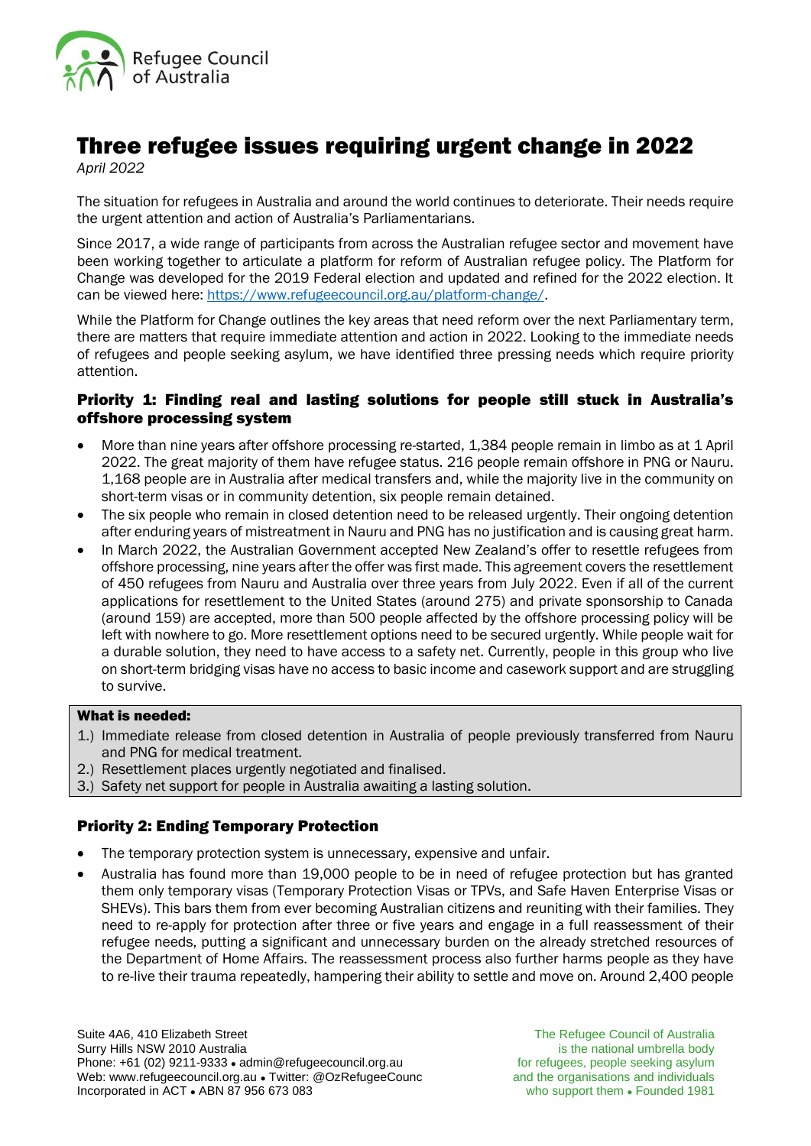

# Three refugee issues requiring urgent change in 2022

*April 2022*

The situation for refugees in Australia and around the world continues to deteriorate. Their needs require the urgent attention and action of Australia's Parliamentarians.

Since 2017, a wide range of participants from across the Australian refugee sector and movement have been working together to articulate a platform for reform of Australian refugee policy. The Platform for Change was developed for the 2019 Federal election and updated and refined for the 2022 election. It can be viewed here: [https://www.refugeecouncil.org.au/platform-change/.](https://www.refugeecouncil.org.au/platform-change/)

While the Platform for Change outlines the key areas that need reform over the next Parliamentary term, there are matters that require immediate attention and action in 2022. Looking to the immediate needs of refugees and people seeking asylum, we have identified three pressing needs which require priority attention.

# Priority 1: Finding real and lasting solutions for people still stuck in Australia's offshore processing system

- More than nine years after offshore processing re-started, 1,384 people remain in limbo as at 1 April 2022. The great majority of them have refugee status. 216 people remain offshore in PNG or Nauru. 1,168 people are in Australia after medical transfers and, while the majority live in the community on short-term visas or in community detention, six people remain detained.
- The six people who remain in closed detention need to be released urgently. Their ongoing detention after enduring years of mistreatment in Nauru and PNG has no justification and is causing great harm.
- In March 2022, the Australian Government accepted New Zealand's offer to resettle refugees from offshore processing, nine years after the offer was first made. This agreement covers the resettlement of 450 refugees from Nauru and Australia over three years from July 2022. Even if all of the current applications for resettlement to the United States (around 275) and private sponsorship to Canada (around 159) are accepted, more than 500 people affected by the offshore processing policy will be left with nowhere to go. More resettlement options need to be secured urgently. While people wait for a durable solution, they need to have access to a safety net. Currently, people in this group who live on short-term bridging visas have no access to basic income and casework support and are struggling to survive.

## What is needed:

- 1.) Immediate release from closed detention in Australia of people previously transferred from Nauru and PNG for medical treatment.
- 2.) Resettlement places urgently negotiated and finalised.
- 3.) Safety net support for people in Australia awaiting a lasting solution.

# Priority 2: Ending Temporary Protection

- The temporary protection system is unnecessary, expensive and unfair.
- Australia has found more than 19,000 people to be in need of refugee protection but has granted them only temporary visas (Temporary Protection Visas or TPVs, and Safe Haven Enterprise Visas or SHEVs). This bars them from ever becoming Australian citizens and reuniting with their families. They need to re-apply for protection after three or five years and engage in a full reassessment of their refugee needs, putting a significant and unnecessary burden on the already stretched resources of the Department of Home Affairs. The reassessment process also further harms people as they have to re-live their trauma repeatedly, hampering their ability to settle and move on. Around 2,400 people